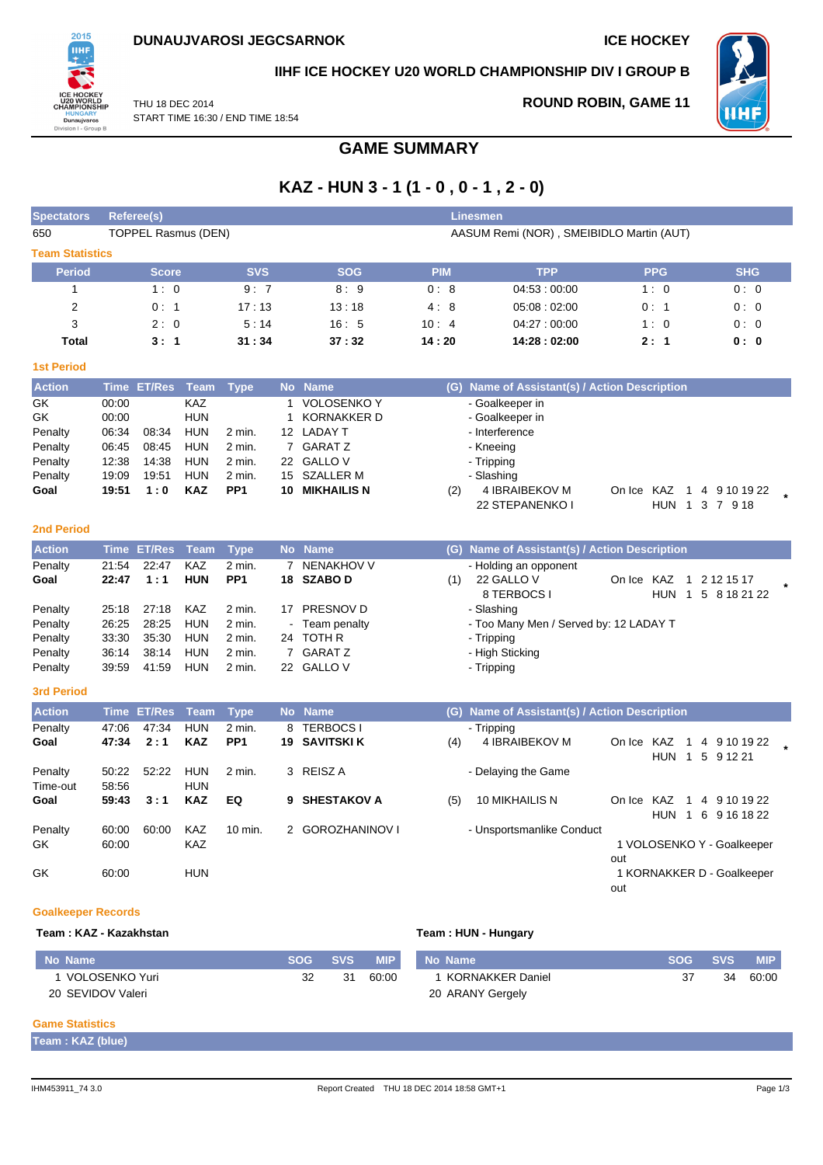

### **IIHF ICE HOCKEY U20 WORLD CHAMPIONSHIP DIV I GROUP B**

THU 18 DEC 2014 START TIME 16:30 / END TIME 18:54

## **ROUND ROBIN, GAME 11**



**GAME SUMMARY**

# **KAZ - HUN 3 - 1 (1 - 0 , 0 - 1 , 2 - 0)**

| <b>Spectators</b>      | <b>Linesmen</b><br><b>Referee(s)</b>                                   |               |             |                 |                |                       |            |                                               |                              |                            |
|------------------------|------------------------------------------------------------------------|---------------|-------------|-----------------|----------------|-----------------------|------------|-----------------------------------------------|------------------------------|----------------------------|
| 650                    | <b>TOPPEL Rasmus (DEN)</b><br>AASUM Remi (NOR), SMEIBIDLO Martin (AUT) |               |             |                 |                |                       |            |                                               |                              |                            |
| <b>Team Statistics</b> |                                                                        |               |             |                 |                |                       |            |                                               |                              |                            |
| <b>Period</b>          |                                                                        | <b>Score</b>  |             | <b>SVS</b>      |                | <b>SOG</b>            | <b>PIM</b> | <b>TPP</b>                                    | <b>PPG</b>                   | <b>SHG</b>                 |
| $\mathbf{1}$           |                                                                        | 1:0           |             | 9:7             |                | 8:9                   | 0:8        | 04:53:00:00                                   | 1:0                          | 0:0                        |
| $\overline{2}$         |                                                                        | 0:1           |             | 17:13           |                | 13:18                 | 4:8        | 05:08:02:00                                   | 0:1                          | 0:0                        |
| 3                      |                                                                        | 2:0           |             | 5:14            |                | 16:5                  | 10:4       | 04:27:00:00                                   | 1:0                          | 0:0                        |
| <b>Total</b>           |                                                                        | 3:1           |             | 31:34           |                | 37:32                 | 14:20      | 14:28:02:00                                   | 2:1                          | 0: 0                       |
| <b>1st Period</b>      |                                                                        |               |             |                 |                |                       |            |                                               |                              |                            |
| <b>Action</b>          | <b>Time</b>                                                            | <b>ET/Res</b> | <b>Team</b> | <b>Type</b>     |                | No Name               |            | (G) Name of Assistant(s) / Action Description |                              |                            |
| GK                     | 00:00                                                                  |               | <b>KAZ</b>  |                 | 1              | <b>VOLOSENKO Y</b>    |            | - Goalkeeper in                               |                              |                            |
| GK                     | 00:00                                                                  |               | <b>HUN</b>  |                 | 1              | <b>KORNAKKER D</b>    |            | - Goalkeeper in                               |                              |                            |
| Penalty                | 06:34                                                                  | 08:34         | <b>HUN</b>  | 2 min.          |                | 12 LADAY T            |            | - Interference                                |                              |                            |
| Penalty                | 06:45                                                                  | 08:45         | <b>HUN</b>  | $2$ min.        |                | 7 GARATZ              |            | - Kneeing                                     |                              |                            |
| Penalty                | 12:38                                                                  | 14:38         | <b>HUN</b>  | 2 min.          | 22             | <b>GALLO V</b>        |            | - Tripping                                    |                              |                            |
| Penalty                | 19:09                                                                  | 19:51         | <b>HUN</b>  | $2$ min.        | 15             | SZALLER M             |            | - Slashing                                    |                              |                            |
| Goal                   | 19:51                                                                  | 1:0           | <b>KAZ</b>  | PP <sub>1</sub> |                | <b>10 MIKHAILIS N</b> | (2)        | 4 IBRAIBEKOV M                                | On Ice KAZ                   | 1 4 9 10 19 22             |
|                        |                                                                        |               |             |                 |                |                       |            | 22 STEPANENKO I                               | HUN 1                        | 3 7 9 18                   |
| <b>2nd Period</b>      |                                                                        |               |             |                 |                |                       |            |                                               |                              |                            |
| <b>Action</b>          | <b>Time</b>                                                            | ET/Res        | <b>Team</b> | <b>Type</b>     | <b>No</b>      | <b>Name</b>           |            | (G) Name of Assistant(s) / Action Description |                              |                            |
| Penalty                | 21:54                                                                  | 22:47         | <b>KAZ</b>  | 2 min.          | $\overline{7}$ | <b>NENAKHOV V</b>     |            | - Holding an opponent                         |                              |                            |
| Goal                   | 22:47                                                                  | 1:1           | HUN         | PP <sub>1</sub> | 18             | <b>SZABOD</b>         | (1)        | 22 GALLO V                                    | On Ice KAZ<br>$\mathbf{1}$   | 2 12 15 17                 |
|                        |                                                                        |               |             |                 |                |                       |            | 8 TERBOCS I                                   | HUN 1                        | 5 8 18 21 22               |
| Penalty                | 25:18                                                                  | 27:18         | <b>KAZ</b>  | 2 min.          |                | 17 PRESNOV D          |            | - Slashing                                    |                              |                            |
| Penalty                | 26:25                                                                  | 28:25         | HUN         | 2 min.          |                | Team penalty          |            | - Too Many Men / Served by: 12 LADAY T        |                              |                            |
| Penalty                | 33:30                                                                  | 35:30         | <b>HUN</b>  | 2 min.          |                | 24 TOTH R             |            | - Tripping                                    |                              |                            |
| Penalty                | 36:14                                                                  | 38:14         | <b>HUN</b>  | $2$ min.        |                | 7 GARATZ              |            | - High Sticking                               |                              |                            |
| Penalty                | 39:59                                                                  | 41:59         | <b>HUN</b>  | 2 min.          |                | 22 GALLOV             |            | - Tripping                                    |                              |                            |
| <b>3rd Period</b>      |                                                                        |               |             |                 |                |                       |            |                                               |                              |                            |
| <b>Action</b>          | <b>Time</b>                                                            | <b>ET/Res</b> | <b>Team</b> | <b>Type</b>     |                | No Name               |            | (G) Name of Assistant(s) / Action Description |                              |                            |
| Penalty                | 47:06                                                                  | 47:34         | <b>HUN</b>  | 2 min.          | 8              | <b>TERBOCS I</b>      |            | - Tripping                                    |                              |                            |
| Goal                   | 47:34                                                                  | 2:1           | <b>KAZ</b>  | PP <sub>1</sub> | 19             | <b>SAVITSKI K</b>     | (4)        | 4 IBRAIBEKOV M                                | On Ice KAZ<br>$\overline{1}$ | 4 9 10 19 22               |
|                        |                                                                        |               |             |                 |                |                       |            |                                               | HUN 1                        | 5 9 1 2 2 1                |
| Penalty                | 50:22                                                                  | 52:22         | <b>HUN</b>  | 2 min.          | 3              | REISZ A               |            | - Delaying the Game                           |                              |                            |
| Time-out               | 58:56                                                                  |               | HUN         |                 |                |                       |            |                                               |                              |                            |
| Goal                   | 59:43                                                                  | 3:1           | <b>KAZ</b>  | EQ              | 9              | <b>SHESTAKOV A</b>    | (5)        | 10 MIKHAILIS N                                | On Ice KAZ<br>$\overline{1}$ | 4 9 10 19 22               |
|                        |                                                                        |               |             |                 |                |                       |            |                                               |                              | HUN 1 6 9 16 18 22         |
| Penalty                | 60:00                                                                  | 60:00         | <b>KAZ</b>  | 10 min.         |                | 2 GOROZHANINOV I      |            | - Unsportsmanlike Conduct                     |                              |                            |
| GK                     | 60:00                                                                  |               | KAZ         |                 |                |                       |            |                                               |                              | 1 VOLOSENKO Y - Goalkeeper |
|                        |                                                                        |               |             |                 |                |                       |            |                                               | out                          |                            |
| GK                     | 60:00                                                                  |               | <b>HUN</b>  |                 |                |                       |            |                                               |                              | 1 KORNAKKER D - Goalkeeper |
|                        |                                                                        |               |             |                 |                |                       |            |                                               | out                          |                            |
|                        |                                                                        |               |             |                 |                |                       |            |                                               |                              |                            |

### **Goalkeeper Records**

### **Team : KAZ - Kazakhstan Team : HUN - Hungary**

| No Name           | SOG | <b>SVS</b> | <b>MIP</b> | No Name          | SOG | <b>SVS</b> | <b>MIP</b> |
|-------------------|-----|------------|------------|------------------|-----|------------|------------|
| VOLOSENKO Yuri    |     | 31         | 60:00      | KORNAKKER Daniel |     | 34         | 60:00      |
| 20 SEVIDOV Valeri |     |            |            | 20 ARANY Gergely |     |            |            |

### **Game Statistics**

| Team: KAZ (blue) |  |
|------------------|--|
|                  |  |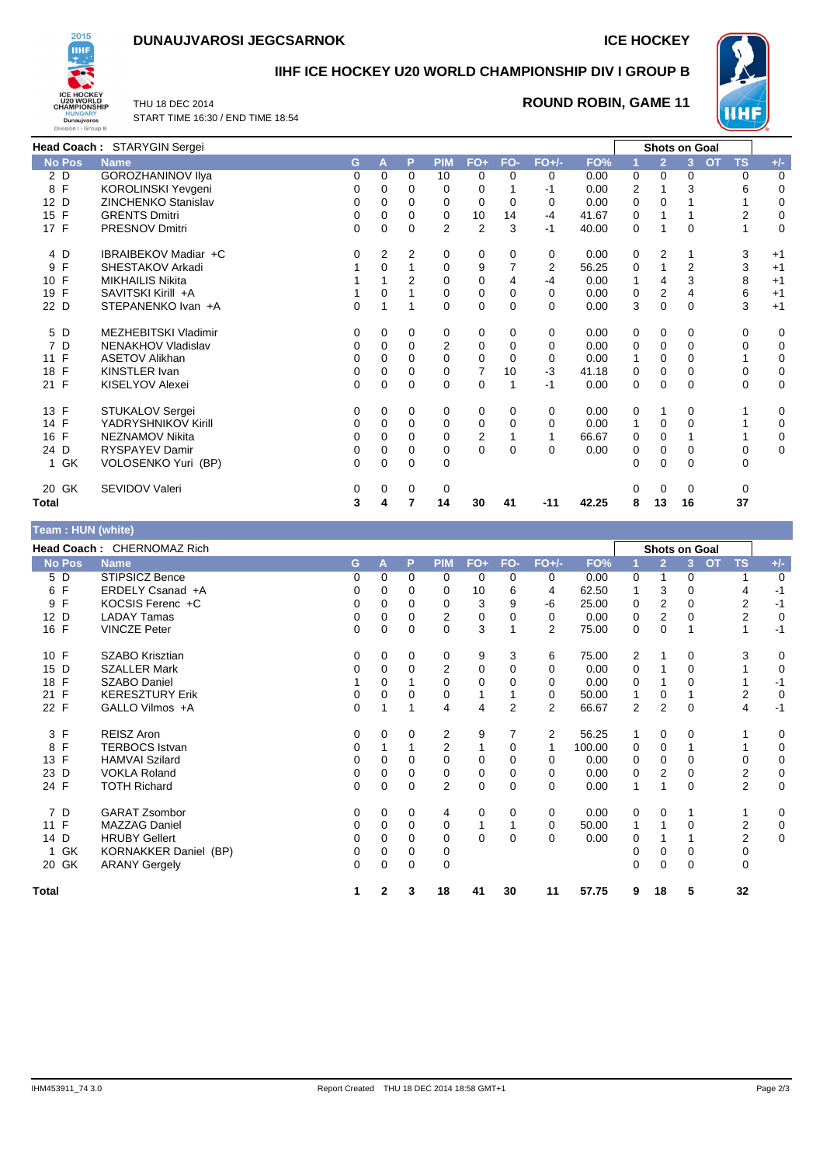# **DUNAUJVAROSI JEGCSARNOK ICE HOCKEY**



### **IIHF ICE HOCKEY U20 WORLD CHAMPIONSHIP DIV I GROUP B**

THU 18 DEC 2014 START TIME 16:30 / END TIME 18:54

### **ROUND ROBIN, GAME 11**



|                    | Head Coach: STARYGIN Sergei |    |          |             |                |                |              |          |       |   | <b>Shots on Goal</b> |                |                        |             |
|--------------------|-----------------------------|----|----------|-------------|----------------|----------------|--------------|----------|-------|---|----------------------|----------------|------------------------|-------------|
| <b>No Pos</b>      | <b>Name</b>                 | G. | A        | P           | <b>PIM</b>     | $FO+$          | FO-          | $FO+/-$  | FO%   |   | $\overline{2}$       | $\mathbf{3}$   | <b>TS</b><br><b>OT</b> | $+/-$       |
| 2 D                | <b>GOROZHANINOV IIya</b>    | 0  | 0        | $\Omega$    | 10             | 0              | 0            | 0        | 0.00  | 0 | 0                    | 0              | 0                      | 0           |
| 8 F                | KOROLINSKI Yevgeni          | 0  | 0        | 0           | 0              | 0              |              | -1       | 0.00  | 2 |                      | 3              | 6                      | 0           |
| 12 D               | <b>ZINCHENKO Stanislav</b>  | 0  | 0        | $\Omega$    | 0              | 0              | 0            | $\Omega$ | 0.00  | 0 | $\Omega$             |                |                        | 0           |
| 15 F               | <b>GRENTS Dmitri</b>        | 0  | 0        | 0           | 0              | 10             | 14           | -4       | 41.67 | 0 |                      |                | 2                      | 0           |
| 17 F               | <b>PRESNOV Dmitri</b>       | 0  | 0        | 0           | $\overline{2}$ | $\overline{c}$ | 3            | -1       | 40.00 | 0 |                      | 0              |                        | $\mathbf 0$ |
| 4 D                | IBRAIBEKOV Madiar +C        | 0  | 2        | 2           | 0              | 0              | 0            | 0        | 0.00  | 0 | 2                    |                | 3                      | $+1$        |
| F<br>9             | SHESTAKOV Arkadi            |    | $\Omega$ |             | $\Omega$       | 9              | 7            | 2        | 56.25 | 0 |                      | $\overline{2}$ | 3                      | $+1$        |
| 10 F               | <b>MIKHAILIS Nikita</b>     |    |          | 2           | 0              | 0              | 4            | -4       | 0.00  | 1 | 4                    | 3              | 8                      | $+1$        |
| 19 F               | SAVITSKI Kirill +A          |    | 0        |             | 0              | 0              | 0            | 0        | 0.00  | 0 | $\overline{2}$       | 4              | 6                      | $+1$        |
| 22 D               | STEPANENKO Ivan +A          | 0  |          |             | 0              | 0              | 0            | $\Omega$ | 0.00  | 3 | 0                    | 0              | 3                      | $+1$        |
| 5 D                | <b>MEZHEBITSKI Vladimir</b> | 0  | 0        | 0           | 0              | 0              | 0            | 0        | 0.00  | 0 | 0                    | 0              | 0                      | 0           |
| 7 D                | NENAKHOV Vladislav          | 0  | $\Omega$ | 0           | $\overline{2}$ | 0              | 0            | 0        | 0.00  | 0 | 0                    | 0              | 0                      | 0           |
| F<br>11            | <b>ASETOV Alikhan</b>       | 0  | 0        | 0           | $\Omega$       | $\Omega$       | 0            | $\Omega$ | 0.00  | 1 | 0                    | 0              |                        | 0           |
| 18 F               | <b>KINSTLER Ivan</b>        | 0  | 0        | 0           | 0              | 7              | 10           | -3       | 41.18 | 0 | 0                    | 0              | 0                      | 0           |
| 21 F               | KISELYOV Alexei             | 0  | 0        | 0           | 0              | 0              | 1            | -1       | 0.00  | 0 | 0                    | 0              | 0                      | 0           |
| 13 F               | STUKALOV Sergei             | 0  | 0        | 0           | 0              | 0              | 0            | 0        | 0.00  | 0 |                      | 0              |                        | 0           |
| 14 F               | YADRYSHNIKOV Kirill         | 0  | 0        | 0           | $\mathbf 0$    | 0              | 0            | 0        | 0.00  | 1 | 0                    | $\Omega$       |                        | 0           |
| 16 F               | NEZNAMOV Nikita             | 0  | 0        | $\Omega$    | 0              | 2              |              |          | 66.67 | 0 | 0                    |                |                        | 0           |
| 24 D               | <b>RYSPAYEV Damir</b>       | 0  | 0        | 0           | 0              | 0              | $\mathbf{0}$ | $\Omega$ | 0.00  | 0 | 0                    | 0              | 0                      | $\mathbf 0$ |
| GK<br>$\mathbf{1}$ | VOLOSENKO Yuri (BP)         | 0  | $\Omega$ | 0           | 0              |                |              |          |       | 0 | 0                    | 0              | 0                      |             |
| 20 GK              | SEVIDOV Valeri              | 0  | 0        | $\mathbf 0$ | 0              |                |              |          |       |   | $\Omega$             | 0              | 0                      |             |
| <b>Total</b>       |                             | 3  | 4        | 7           | 14             | 30             | 41           | $-11$    | 42.25 | 8 | 13                   | 16             | 37                     |             |

# **Team : HUN (white)**

|               | Head Coach: CHERNOMAZ Rich   |    |              |          |                |          |     |                |        |                |                | <b>Shots on Goal</b> |                        |       |
|---------------|------------------------------|----|--------------|----------|----------------|----------|-----|----------------|--------|----------------|----------------|----------------------|------------------------|-------|
| <b>No Pos</b> | <b>Name</b>                  | G  | А            | P        | <b>PIM</b>     | $FO+$    | FO- | $FO+/-$        | FO%    |                | $\overline{2}$ | 3                    | <b>OT</b><br><b>TS</b> | $+/-$ |
| 5 D           | <b>STIPSICZ Bence</b>        | 0  | $\Omega$     | 0        | 0              | 0        | 0   | 0              | 0.00   | 0              |                | 0                    |                        | 0     |
| F<br>6        | ERDELY Csanad +A             | 0  | 0            | 0        | 0              | 10       | 6   | 4              | 62.50  |                | 3              | 0                    | 4                      | $-1$  |
| F<br>9        | KOCSIS Ferenc +C             | 0  | $\Omega$     | 0        | $\Omega$       | 3        | 9   | -6             | 25.00  | 0              | 2              | 0                    | 2                      | $-1$  |
| 12 D          | <b>LADAY Tamas</b>           | 0  | 0            | 0        | $\overline{2}$ | 0        | 0   | 0              | 0.00   | 0              | $\mathbf{2}$   | 0                    | $\overline{2}$         | 0     |
| 16 F          | <b>VINCZE Peter</b>          | 0  | $\Omega$     | 0        | 0              | 3        | 1   | 2              | 75.00  | 0              | 0              | 1                    | 1                      | $-1$  |
| 10 F          | <b>SZABO Krisztian</b>       | 0  | 0            | 0        | 0              | 9        | 3   | 6              | 75.00  | $\overline{2}$ |                | 0                    | 3                      | 0     |
| D<br>15       | <b>SZALLER Mark</b>          | 0  | $\Omega$     | 0        | $\overline{2}$ | 0        | 0   | 0              | 0.00   | 0              |                | 0                    |                        | 0     |
| F<br>18       | <b>SZABO Daniel</b>          |    | $\Omega$     |          | 0              | $\Omega$ | 0   | 0              | 0.00   | 0              |                | 0                    |                        | -1    |
| F<br>21       | <b>KERESZTURY Erik</b>       | 0  | 0            | 0        | 0              |          |     | 0              | 50.00  | $\mathbf{1}$   | 0              |                      | 2                      | 0     |
| 22 F          | GALLO Vilmos +A              | 0  |              |          | 4              | 4        | 2   | $\overline{2}$ | 66.67  | 2              | $\overline{2}$ | 0                    | 4                      | $-1$  |
| 3 F           | <b>REISZ Aron</b>            | 0  | $\Omega$     | $\Omega$ | $\overline{2}$ | 9        | 7   | 2              | 56.25  | 1              | 0              | 0                    |                        | 0     |
| F<br>8        | <b>TERBOCS Istvan</b>        | 0  |              |          | $\overline{2}$ |          | 0   |                | 100.00 | 0              | 0              |                      |                        | 0     |
| F<br>13       | <b>HAMVAI Szilard</b>        | 0  | $\Omega$     | 0        | 0              | $\Omega$ | 0   | 0              | 0.00   | 0              | 0              | 0                    | 0                      | 0     |
| 23 D          | <b>VOKLA Roland</b>          | 0  | $\Omega$     | 0        | $\Omega$       | 0        | 0   | 0              | 0.00   | 0              | 2              | 0                    | 2                      | 0     |
| 24 F          | <b>TOTH Richard</b>          | 0  | 0            | 0        | 2              | 0        | 0   | $\Omega$       | 0.00   | 1              |                | 0                    | $\overline{2}$         | 0     |
| 7 D           | <b>GARAT Zsombor</b>         | 0  | 0            | $\Omega$ | 4              | 0        | 0   | 0              | 0.00   | 0              | 0              |                      |                        | 0     |
| F<br>11       | <b>MAZZAG Daniel</b>         | 0  | 0            | $\Omega$ | 0              |          |     | $\Omega$       | 50.00  | 1              |                | 0                    | 2                      | 0     |
| D<br>14       | <b>HRUBY Gellert</b>         | 0  | 0            | 0        | 0              | $\Omega$ | 0   | 0              | 0.00   | 0              |                |                      | $\overline{2}$         | 0     |
| GK            | <b>KORNAKKER Daniel (BP)</b> | 0  | $\Omega$     | 0        | 0              |          |     |                |        | 0              | 0              | 0                    | 0                      |       |
| 20 GK         | <b>ARANY Gergely</b>         | 0  | $\Omega$     | $\Omega$ | $\Omega$       |          |     |                |        | $\Omega$       | 0              | 0                    | $\Omega$               |       |
| <b>Total</b>  |                              | 1. | $\mathbf{2}$ | 3        | 18             | 41       | 30  | 11             | 57.75  | 9              | 18             | 5                    | 32                     |       |